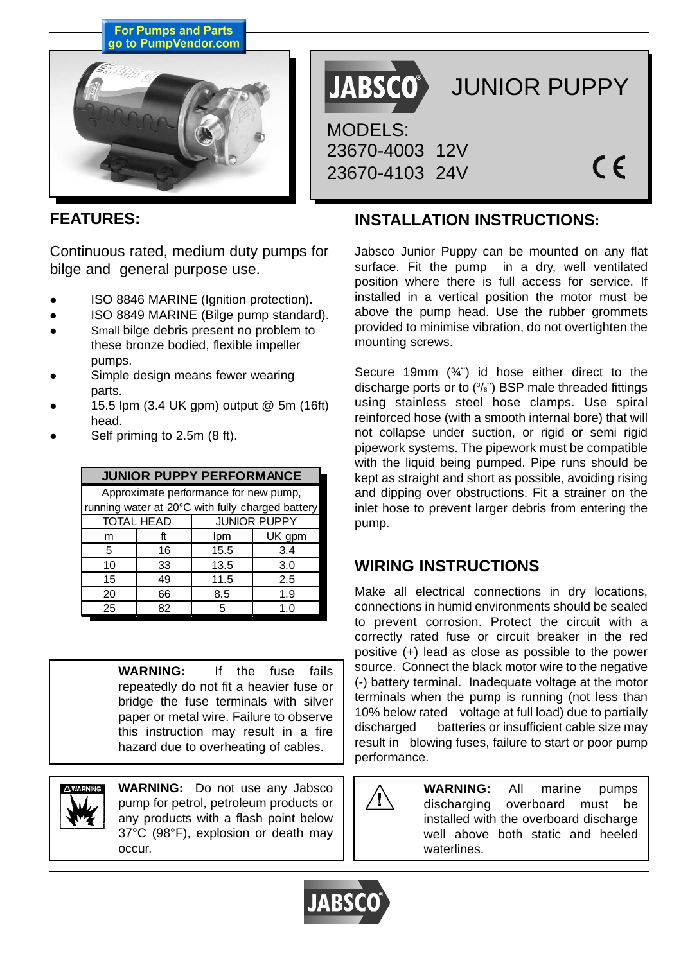**For Pumps and Parts** go to PumpVendor.com



JABSCO<sup>®</sup> JUNIOR PUPPY MODELS: 23670-4003 12V  $\epsilon$ 23670-4103 24V

## **FEATURES:**

Continuous rated, medium duty pumps for bilge and general purpose use.

- ISO 8846 MARINE (Ignition protection).
- ISO 8849 MARINE (Bilge pump standard).
- Small bilge debris present no problem to these bronze bodied, flexible impeller pumps.
- Simple design means fewer wearing parts.
- z 15.5 lpm (3.4 UK gpm) output @ 5m (16ft) head.
- Self priming to 2.5m (8 ft).

| <b>JUNIOR PUPPY PERFORMANCE</b>                  |    |                     |        |  |  |  |  |
|--------------------------------------------------|----|---------------------|--------|--|--|--|--|
| Approximate performance for new pump,            |    |                     |        |  |  |  |  |
| running water at 20°C with fully charged battery |    |                     |        |  |  |  |  |
| <b>TOTAL HEAD</b>                                |    | <b>JUNIOR PUPPY</b> |        |  |  |  |  |
| m                                                | ft | lpm                 | UK gpm |  |  |  |  |
| 5                                                | 16 | 15.5                | 3.4    |  |  |  |  |
| 10                                               | 33 | 13.5                | 3.0    |  |  |  |  |
| 15                                               | 49 | 11.5                | 2.5    |  |  |  |  |
| 20                                               | 66 | 8.5                 | 1.9    |  |  |  |  |
| 25                                               | 82 | 5                   | 1.0    |  |  |  |  |

**WARNING:** If the fuse fails repeatedly do not fit a heavier fuse or bridge the fuse terminals with silver paper or metal wire. Failure to observe this instruction may result in a fire hazard due to overheating of cables.



**WARNING:** Do not use any Jabsco pump for petrol, petroleum products or any products with a flash point below 37°C (98°F), explosion or death may occur.

## **INSTALLATION INSTRUCTIONS:**

Jabsco Junior Puppy can be mounted on any flat surface. Fit the pump in a dry, well ventilated position where there is full access for service. If installed in a vertical position the motor must be above the pump head. Use the rubber grommets provided to minimise vibration, do not overtighten the mounting screws.

Secure 19mm (¾¨) id hose either direct to the discharge ports or to  $(3/s)$  BSP male threaded fittings using stainless steel hose clamps. Use spiral reinforced hose (with a smooth internal bore) that will not collapse under suction, or rigid or semi rigid pipework systems. The pipework must be compatible with the liquid being pumped. Pipe runs should be kept as straight and short as possible, avoiding rising and dipping over obstructions. Fit a strainer on the inlet hose to prevent larger debris from entering the pump.

# **WIRING INSTRUCTIONS**

Make all electrical connections in dry locations, connections in humid environments should be sealed to prevent corrosion. Protect the circuit with a correctly rated fuse or circuit breaker in the red positive (+) lead as close as possible to the power source. Connect the black motor wire to the negative (-) battery terminal. Inadequate voltage at the motor terminals when the pump is running (not less than 10% below rated voltage at full load) due to partially discharged batteries or insufficient cable size may result in blowing fuses, failure to start or poor pump performance.

> **WARNING:** All marine pumps discharging overboard must be installed with the overboard discharge well above both static and heeled waterlines.